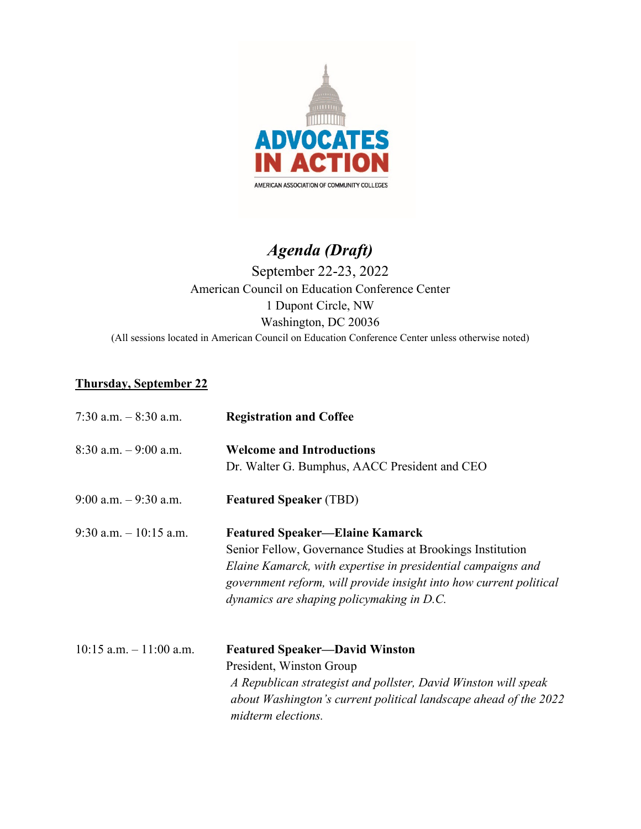

## *Agenda (Draft)*

## September 22-23, 2022 American Council on Education Conference Center 1 Dupont Circle, NW Washington, DC 20036 (All sessions located in American Council on Education Conference Center unless otherwise noted)

## **Thursday, September 22**

| 7:30 a.m. $-8:30$ a.m.     | <b>Registration and Coffee</b>                                                                                                                                                                                                                                                          |
|----------------------------|-----------------------------------------------------------------------------------------------------------------------------------------------------------------------------------------------------------------------------------------------------------------------------------------|
| $8:30$ a.m. $-9:00$ a.m.   | <b>Welcome and Introductions</b><br>Dr. Walter G. Bumphus, AACC President and CEO                                                                                                                                                                                                       |
| $9:00$ a.m. $-9:30$ a.m.   | <b>Featured Speaker (TBD)</b>                                                                                                                                                                                                                                                           |
| 9:30 a.m. $-10:15$ a.m.    | <b>Featured Speaker—Elaine Kamarck</b><br>Senior Fellow, Governance Studies at Brookings Institution<br>Elaine Kamarck, with expertise in presidential campaigns and<br>government reform, will provide insight into how current political<br>dynamics are shaping policymaking in D.C. |
| $10:15$ a.m. $-11:00$ a.m. | <b>Featured Speaker—David Winston</b><br>President, Winston Group<br>A Republican strategist and pollster, David Winston will speak<br>about Washington's current political landscape ahead of the 2022<br>midterm elections.                                                           |